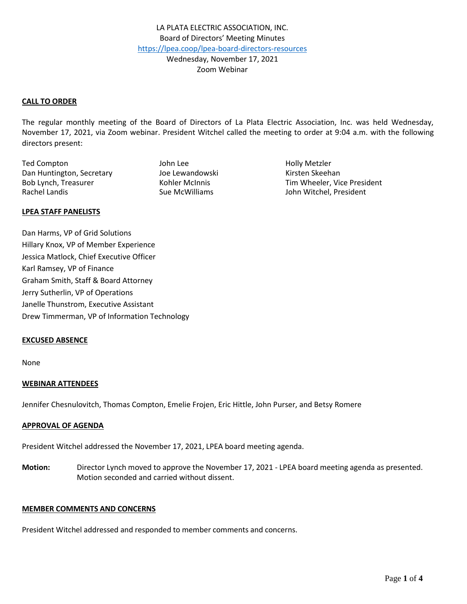### **CALL TO ORDER**

The regular monthly meeting of the Board of Directors of La Plata Electric Association, Inc. was held Wednesday, November 17, 2021, via Zoom webinar. President Witchel called the meeting to order at 9:04 a.m. with the following directors present:

Ted Compton The Compton Compton Compton Compton Compton Compton John Lee The Compton Compton Compton Compton Compton Compton Compton Compton Compton Compton Compton Compton Compton Compton Compton Compton Compton Compton C Dan Huntington, Secretary The Lewandowski Kirsten Skeehan Rachel Landis **Sue McWilliams** Sue McWilliams John Witchel, President

Bob Lynch, Treasurer Tim Wheeler, Vice President

#### **LPEA STAFF PANELISTS**

Dan Harms, VP of Grid Solutions Hillary Knox, VP of Member Experience Jessica Matlock, Chief Executive Officer Karl Ramsey, VP of Finance Graham Smith, Staff & Board Attorney Jerry Sutherlin, VP of Operations Janelle Thunstrom, Executive Assistant Drew Timmerman, VP of Information Technology

#### **EXCUSED ABSENCE**

None

## **WEBINAR ATTENDEES**

Jennifer Chesnulovitch, Thomas Compton, Emelie Frojen, Eric Hittle, John Purser, and Betsy Romere

#### **APPROVAL OF AGENDA**

President Witchel addressed the November 17, 2021, LPEA board meeting agenda.

**Motion:** Director Lynch moved to approve the November 17, 2021 - LPEA board meeting agenda as presented. Motion seconded and carried without dissent.

# **MEMBER COMMENTS AND CONCERNS**

President Witchel addressed and responded to member comments and concerns.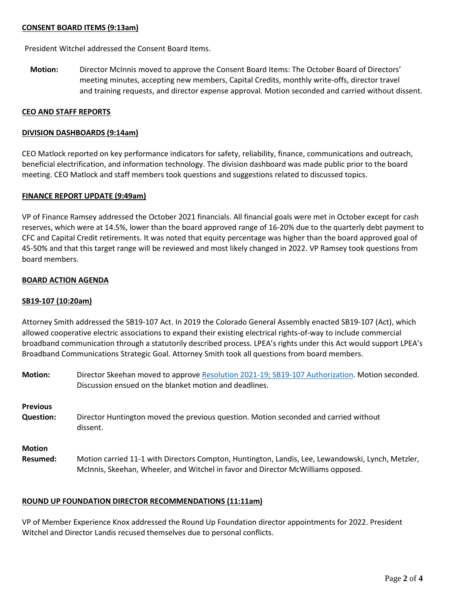## **CONSENT BOARD ITEMS (9:13am)**

President Witchel addressed the Consent Board Items.

**Motion:** Director McInnis moved to approve the Consent Board Items: The October Board of Directors' meeting minutes, accepting new members, Capital Credits, monthly write-offs, director travel and training requests, and director expense approval. Motion seconded and carried without dissent.

#### **CEO AND STAFF REPORTS**

#### **DIVISION DASHBOARDS (9:14am)**

CEO Matlock reported on key performance indicators for safety, reliability, finance, communications and outreach, beneficial electrification, and information technology. The division dashboard was made public prior to the board meeting. CEO Matlock and staff members took questions and suggestions related to discussed topics.

### **FINANCE REPORT UPDATE (9:49am)**

VP of Finance Ramsey addressed the October 2021 financials. All financial goals were met in October except for cash reserves, which were at 14.5%, lower than the board approved range of 16-20% due to the quarterly debt payment to CFC and Capital Credit retirements. It was noted that equity percentage was higher than the board approved goal of 45-50% and that this target range will be reviewed and most likely changed in 2022. VP Ramsey took questions from board members.

#### **BOARD ACTION AGENDA**

#### **SB19-107 (10:20am)**

Attorney Smith addressed the SB19-107 Act. In 2019 the Colorado General Assembly enacted SB19-107 (Act), which allowed cooperative electric associations to expand their existing electrical rights-of-way to include commercial broadband communication through a statutorily described process. LPEA's rights under this Act would support LPEA's Broadband Communications Strategic Goal. Attorney Smith took all questions from board members.

| <b>Motion:</b>   | Director Skeehan moved to approve Resolution 2021-19; SB19-107 Authorization. Motion seconded.<br>Discussion ensued on the blanket motion and deadlines. |
|------------------|----------------------------------------------------------------------------------------------------------------------------------------------------------|
| <b>Previous</b>  | Director Huntington moved the previous question. Motion seconded and carried without                                                                     |
| <b>Question:</b> | dissent.                                                                                                                                                 |
| <b>Motion</b>    | Motion carried 11-1 with Directors Compton, Huntington, Landis, Lee, Lewandowski, Lynch, Metzler,                                                        |
| Resumed:         | McInnis, Skeehan, Wheeler, and Witchel in favor and Director McWilliams opposed.                                                                         |

## **ROUND UP FOUNDATION DIRECTOR RECOMMENDATIONS (11:11am)**

VP of Member Experience Knox addressed the Round Up Foundation director appointments for 2022. President Witchel and Director Landis recused themselves due to personal conflicts.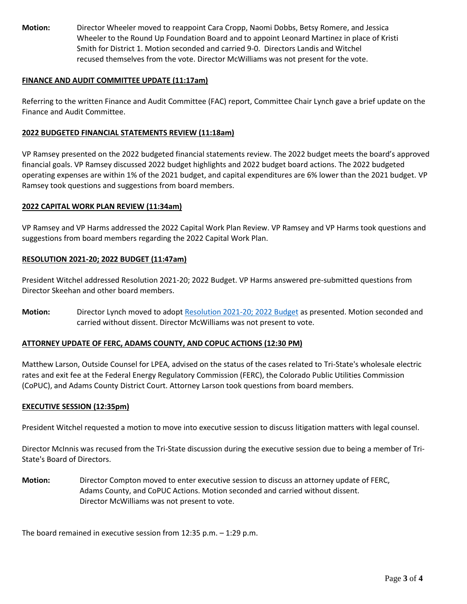**Motion:** Director Wheeler moved to reappoint Cara Cropp, Naomi Dobbs, Betsy Romere, and Jessica Wheeler to the Round Up Foundation Board and to appoint Leonard Martinez in place of Kristi Smith for District 1. Motion seconded and carried 9-0. Directors Landis and Witchel recused themselves from the vote. Director McWilliams was not present for the vote.

## **FINANCE AND AUDIT COMMITTEE UPDATE (11:17am)**

Referring to the written Finance and Audit Committee (FAC) report, Committee Chair Lynch gave a brief update on the Finance and Audit Committee.

## **2022 BUDGETED FINANCIAL STATEMENTS REVIEW (11:18am)**

VP Ramsey presented on the 2022 budgeted financial statements review. The 2022 budget meets the board's approved financial goals. VP Ramsey discussed 2022 budget highlights and 2022 budget board actions. The 2022 budgeted operating expenses are within 1% of the 2021 budget, and capital expenditures are 6% lower than the 2021 budget. VP Ramsey took questions and suggestions from board members.

### **2022 CAPITAL WORK PLAN REVIEW (11:34am)**

VP Ramsey and VP Harms addressed the 2022 Capital Work Plan Review. VP Ramsey and VP Harms took questions and suggestions from board members regarding the 2022 Capital Work Plan.

### **RESOLUTION 2021-20; 2022 BUDGET (11:47am)**

President Witchel addressed Resolution 2021-20; 2022 Budget. VP Harms answered pre-submitted questions from Director Skeehan and other board members.

**Motion:** Director Lynch moved to adopt [Resolution 2021-20; 2022 Budget](https://www.lpea.coop/sites/default/files/2021-11/Resolution%202021-20%20-%202022%20Budget.pdf) as presented. Motion seconded and carried without dissent. Director McWilliams was not present to vote.

## **ATTORNEY UPDATE OF FERC, ADAMS COUNTY, AND COPUC ACTIONS (12:30 PM)**

Matthew Larson, Outside Counsel for LPEA, advised on the status of the cases related to Tri-State's wholesale electric rates and exit fee at the Federal Energy Regulatory Commission (FERC), the Colorado Public Utilities Commission (CoPUC), and Adams County District Court. Attorney Larson took questions from board members.

## **EXECUTIVE SESSION (12:35pm)**

President Witchel requested a motion to move into executive session to discuss litigation matters with legal counsel.

Director McInnis was recused from the Tri-State discussion during the executive session due to being a member of Tri-State's Board of Directors.

**Motion:** Director Compton moved to enter executive session to discuss an attorney update of FERC, Adams County, and CoPUC Actions. Motion seconded and carried without dissent. Director McWilliams was not present to vote.

The board remained in executive session from 12:35 p.m. – 1:29 p.m.